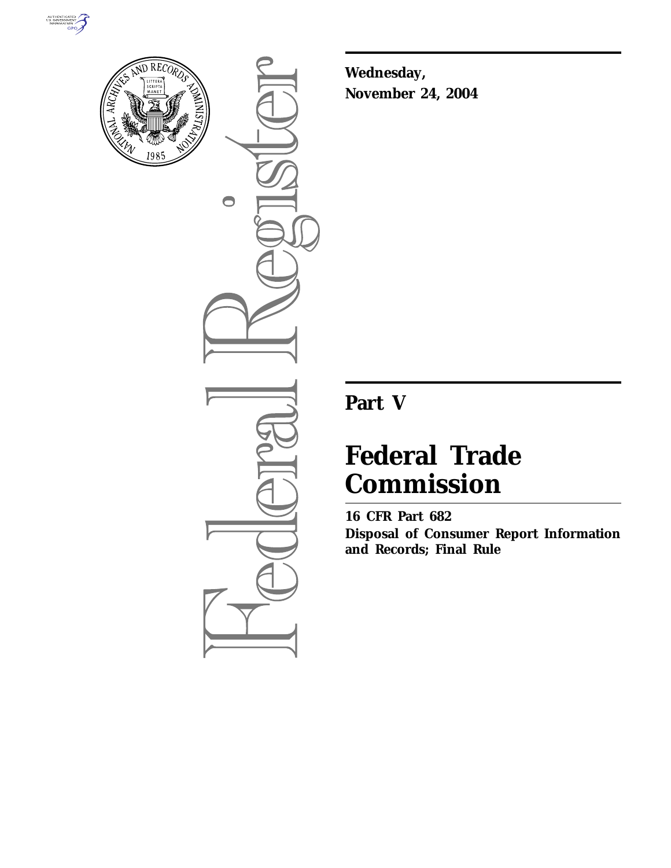



 $\bullet$ 

**Wednesday, November 24, 2004**

# **Part V**

# **Federal Trade Commission**

**16 CFR Part 682 Disposal of Consumer Report Information and Records; Final Rule**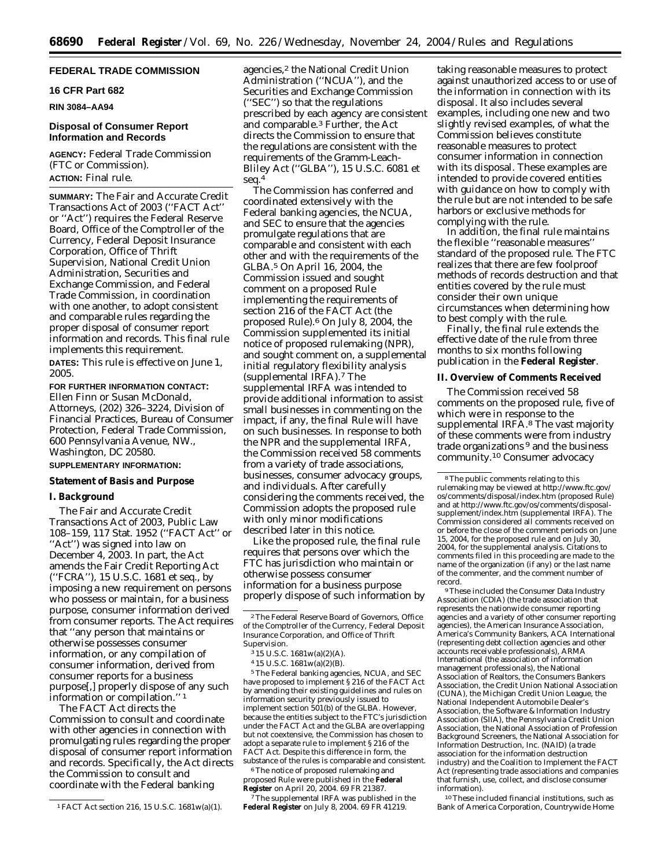## **FEDERAL TRADE COMMISSION**

# **16 CFR Part 682**

**RIN 3084–AA94** 

#### **Disposal of Consumer Report Information and Records**

**AGENCY:** Federal Trade Commission (FTC or Commission). **ACTION:** Final rule.

**SUMMARY:** The Fair and Accurate Credit Transactions Act of 2003 (''FACT Act'' or ''Act'') requires the Federal Reserve Board, Office of the Comptroller of the Currency, Federal Deposit Insurance Corporation, Office of Thrift Supervision, National Credit Union Administration, Securities and Exchange Commission, and Federal Trade Commission, in coordination with one another, to adopt consistent and comparable rules regarding the proper disposal of consumer report information and records. This final rule implements this requirement. **DATES:** This rule is effective on June 1, 2005.

**FOR FURTHER INFORMATION CONTACT:** Ellen Finn or Susan McDonald, Attorneys, (202) 326–3224, Division of Financial Practices, Bureau of Consumer Protection, Federal Trade Commission, 600 Pennsylvania Avenue, NW., Washington, DC 20580.

# **SUPPLEMENTARY INFORMATION:**

# **Statement of Basis and Purpose**

#### **I. Background**

The Fair and Accurate Credit Transactions Act of 2003, Public Law 108–159, 117 Stat. 1952 (''FACT Act'' or ''Act'') was signed into law on December 4, 2003. In part, the Act amends the Fair Credit Reporting Act (''FCRA''), 15 U.S.C. 1681 *et seq.*, by imposing a new requirement on persons who possess or maintain, for a business purpose, consumer information derived from consumer reports. The Act requires that ''any person that maintains or otherwise possesses consumer information, or any compilation of consumer information, derived from consumer reports for a business purpose[,] properly dispose of any such information or compilation.'' 1

The FACT Act directs the Commission to consult and coordinate with other agencies in connection with promulgating rules regarding the proper disposal of consumer report information and records. Specifically, the Act directs the Commission to consult and coordinate with the Federal banking

agencies,<sup>2</sup> the National Credit Union Administration (''NCUA''), and the Securities and Exchange Commission (''SEC'') so that the regulations prescribed by each agency are consistent and comparable.3 Further, the Act directs the Commission to ensure that the regulations are consistent with the requirements of the Gramm-Leach-Bliley Act (''GLBA''), 15 U.S.C. 6081 *et seq.*4

The Commission has conferred and coordinated extensively with the Federal banking agencies, the NCUA, and SEC to ensure that the agencies promulgate regulations that are comparable and consistent with each other and with the requirements of the GLBA.5 On April 16, 2004, the Commission issued and sought comment on a proposed Rule implementing the requirements of section 216 of the FACT Act (the proposed Rule).6 On July 8, 2004, the Commission supplemented its initial notice of proposed rulemaking (NPR), and sought comment on, a supplemental initial regulatory flexibility analysis (supplemental IRFA).7 The supplemental IRFA was intended to provide additional information to assist small businesses in commenting on the impact, if any, the final Rule will have on such businesses. In response to both the NPR and the supplemental IRFA, the Commission received 58 comments from a variety of trade associations, businesses, consumer advocacy groups, and individuals. After carefully considering the comments received, the Commission adopts the proposed rule with only minor modifications described later in this notice.

Like the proposed rule, the final rule requires that persons over which the FTC has jurisdiction who maintain or otherwise possess consumer information for a business purpose properly dispose of such information by

5The Federal banking agencies, NCUA, and SEC have proposed to implement § 216 of the FACT Act by amending their existing guidelines and rules on information security previously issued to implement section 501(b) of the GLBA. However, because the entities subject to the FTC's jurisdiction under the FACT Act and the GLBA are overlapping but not coextensive, the Commission has chosen to adopt a separate rule to implement § 216 of the FACT Act. Despite this difference in form, the substance of the rules is comparable and consistent.

6The notice of proposed rulemaking and proposed Rule were published in the **Federal Register** on April 20, 2004. 69 FR 21387.

7The supplemental IRFA was published in the **Federal Register** on July 8, 2004. 69 FR 41219.

taking reasonable measures to protect against unauthorized access to or use of the information in connection with its disposal. It also includes several examples, including one new and two slightly revised examples, of what the Commission believes constitute reasonable measures to protect consumer information in connection with its disposal. These examples are intended to provide covered entities with guidance on how to comply with the rule but are not intended to be safe harbors or exclusive methods for complying with the rule.

In addition, the final rule maintains the flexible ''reasonable measures'' standard of the proposed rule. The FTC realizes that there are few foolproof methods of records destruction and that entities covered by the rule must consider their own unique circumstances when determining how to best comply with the rule.

Finally, the final rule extends the effective date of the rule from three months to six months following publication in the **Federal Register**.

#### **II. Overview of Comments Received**

The Commission received 58 comments on the proposed rule, five of which were in response to the supplemental IRFA.<sup>8</sup> The vast majority of these comments were from industry trade organizations 9 and the business community.10 Consumer advocacy

9These included the Consumer Data Industry Association (CDIA) (the trade association that represents the nationwide consumer reporting agencies and a variety of other consumer reporting agencies), the American Insurance Association, America's Community Bankers, ACA International (representing debt collection agencies and other accounts receivable professionals), ARMA International (the association of information management professionals), the National Association of Realtors, the Consumers Bankers Association, the Credit Union National Association (CUNA), the Michigan Credit Union League, the National Independent Automobile Dealer's Association, the Software & Information Industry Association (SIIA), the Pennsylvania Credit Union Association, the National Association of Profession Background Screeners, the National Association for Information Destruction, Inc. (NAID) (a trade association for the information destruction industry) and the Coalition to Implement the FACT Act (representing trade associations and companies that furnish, use, collect, and disclose consumer information).

10These included financial institutions, such as Bank of America Corporation, Countrywide Home

<sup>1</sup>FACT Act section 216, 15 U.S.C. 1681w(a)(1).

<sup>2</sup>The Federal Reserve Board of Governors, Office of the Comptroller of the Currency, Federal Deposit Insurance Corporation, and Office of Thrift Supervision.

<sup>3</sup> 15 U.S.C. 1681w(a)(2)(A).

<sup>4</sup> 15 U.S.C. 1681w(a)(2)(B).

<sup>8</sup>The public comments relating to this rulemaking may be viewed at *http://www.ftc.gov/ os/comments/disposal/index.htm* (proposed Rule) and at *http://www.ftc.gov/os/comments/disposalsupplement/index.htm* (supplemental IRFA). The Commission considered all comments received on or before the close of the comment periods on June 15, 2004, for the proposed rule and on July 30, 2004, for the supplemental analysis. Citations to comments filed in this proceeding are made to the name of the organization (if any) or the last name of the commenter, and the comment number of record.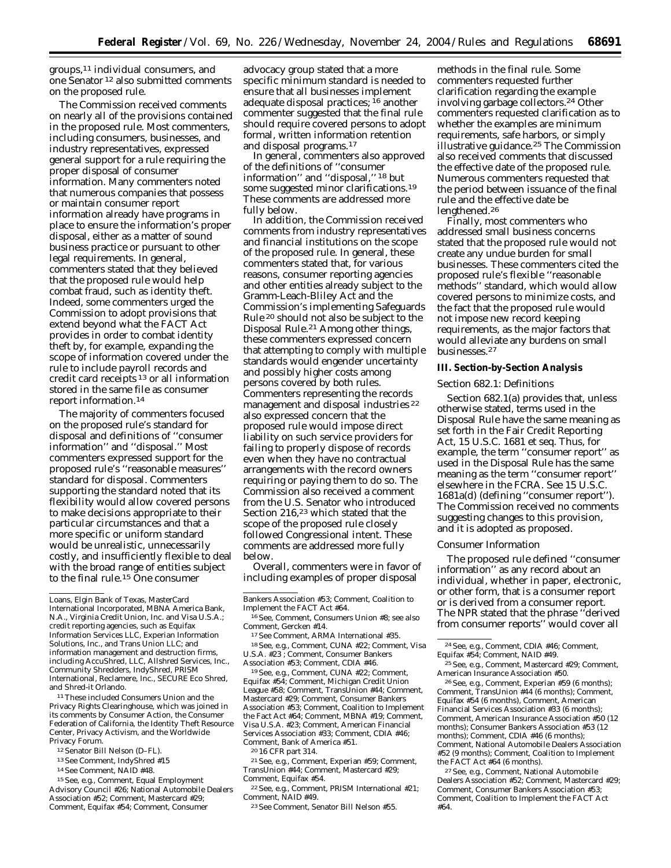groups,11 individual consumers, and one Senator 12 also submitted comments on the proposed rule.

The Commission received comments on nearly all of the provisions contained in the proposed rule. Most commenters, including consumers, businesses, and industry representatives, expressed general support for a rule requiring the proper disposal of consumer information. Many commenters noted that numerous companies that possess or maintain consumer report information already have programs in place to ensure the information's proper disposal, either as a matter of sound business practice or pursuant to other legal requirements. In general, commenters stated that they believed that the proposed rule would help combat fraud, such as identity theft. Indeed, some commenters urged the Commission to adopt provisions that extend beyond what the FACT Act provides in order to combat identity theft by, for example, expanding the scope of information covered under the rule to include payroll records and credit card receipts 13 or all information stored in the same file as consumer report information.14

The majority of commenters focused on the proposed rule's standard for disposal and definitions of ''consumer information'' and ''disposal.'' Most commenters expressed support for the proposed rule's ''reasonable measures'' standard for disposal. Commenters supporting the standard noted that its flexibility would allow covered persons to make decisions appropriate to their particular circumstances and that a more specific or uniform standard would be unrealistic, unnecessarily costly, and insufficiently flexible to deal with the broad range of entities subject to the final rule.15 One consumer

11These included Consumers Union and the Privacy Rights Clearinghouse, which was joined in its comments by Consumer Action, the Consumer Federation of California, the Identity Theft Resource Center, Privacy Activism, and the Worldwide Privacy Forum.

- 12Senator Bill Nelson (D–FL).
- 13*See* Comment, IndyShred #15
- 14*See* Comment, NAID #48.

15*See, e.g.*, Comment, Equal Employment Advisory Council #26; National Automobile Dealers Association #52; Comment, Mastercard #29; Comment, Equifax #54; Comment, Consumer

advocacy group stated that a more specific minimum standard is needed to ensure that all businesses implement adequate disposal practices; 16 another commenter suggested that the final rule should require covered persons to adopt formal, written information retention and disposal programs.17

In general, commenters also approved of the definitions of ''consumer information'' and ''disposal,'' 18 but some suggested minor clarifications.19 These comments are addressed more fully below.

In addition, the Commission received comments from industry representatives and financial institutions on the scope of the proposed rule. In general, these commenters stated that, for various reasons, consumer reporting agencies and other entities already subject to the Gramm-Leach-Bliley Act and the Commission's implementing Safeguards Rule 20 should not also be subject to the Disposal Rule.<sup>21</sup> Among other things, these commenters expressed concern that attempting to comply with multiple standards would engender uncertainty and possibly higher costs among persons covered by both rules. Commenters representing the records management and disposal industries 22 also expressed concern that the proposed rule would impose direct liability on such service providers for failing to properly dispose of records even when they have no contractual arrangements with the record owners requiring or paying them to do so. The Commission also received a comment from the U.S. Senator who introduced Section 216,23 which stated that the scope of the proposed rule closely followed Congressional intent. These comments are addressed more fully below.

Overall, commenters were in favor of including examples of proper disposal

19*See, e.g.*, Comment, CUNA #22; Comment, Equifax #54; Comment, Michigan Credit Union League #58; Comment, TransUnion #44; Comment, Mastercard #29; Comment, Consumer Bankers Association #53; Comment, Coalition to Implement the Fact Act #64; Comment, MBNA #19; Comment, Visa U.S.A. #23; Comment, American Financial Services Association #33; Comment, CDIA #46; Comment, Bank of America #51.

20 16 CFR part 314.

21*See, e.g.*, Comment, Experian #59; Comment, TransUnion #44; Comment, Mastercard #29; Comment, Equifax #54.

22*See, e.g.*, Comment, PRISM International #21; Comment, NAID #49.

methods in the final rule. Some commenters requested further clarification regarding the example involving garbage collectors.24 Other commenters requested clarification as to whether the examples are minimum requirements, safe harbors, or simply illustrative guidance.25 The Commission also received comments that discussed the effective date of the proposed rule. Numerous commenters requested that the period between issuance of the final rule and the effective date be lengthened.26

Finally, most commenters who addressed small business concerns stated that the proposed rule would not create any undue burden for small businesses. These commenters cited the proposed rule's flexible ''reasonable methods'' standard, which would allow covered persons to minimize costs, and the fact that the proposed rule would not impose new record keeping requirements, as the major factors that would alleviate any burdens on small businesses.27

#### **III. Section-by-Section Analysis**

#### *Section 682.1: Definitions*

Section 682.1(a) provides that, unless otherwise stated, terms used in the Disposal Rule have the same meaning as set forth in the Fair Credit Reporting Act, 15 U.S.C. 1681 *et seq.* Thus, for example, the term ''consumer report'' as used in the Disposal Rule has the same meaning as the term ''consumer report'' elsewhere in the FCRA. *See* 15 U.S.C. 1681a(d) (defining ''consumer report''). The Commission received no comments suggesting changes to this provision, and it is adopted as proposed.

#### *Consumer Information*

The proposed rule defined ''consumer information'' as any record about an individual, whether in paper, electronic, or other form, that is a consumer report or is derived from a consumer report. The NPR stated that the phrase ''derived from consumer reports'' would cover all

26*See, e.g.*, Comment, Experian #59 (6 months); Comment, TransUnion #44 (6 months); Comment, Equifax #54 (6 months), Comment, American Financial Services Association #33 (6 months); Comment, American Insurance Association #50 (12 months); Consumer Bankers Association #53 (12 months); Comment, CDIA #46 (6 months); Comment, National Automobile Dealers Association #52 (9 months); Comment, Coalition to Implement the FACT Act #64 (6 months).

27*See, e.g.*, Comment, National Automobile Dealers Association #52; Comment, Mastercard #29; Comment, Consumer Bankers Association #53; Comment, Coalition to Implement the FACT Act #64.

Loans, Elgin Bank of Texas, MasterCard International Incorporated, MBNA America Bank, N.A., Virginia Credit Union, Inc. and Visa U.S.A.; credit reporting agencies, such as Equifax Information Services LLC, Experian Information Solutions, Inc., and Trans Union LLC; and information management and destruction firms, including AccuShred, LLC, Allshred Services, Inc., Community Shredders, IndyShred, PRISM International, Reclamere, Inc., SECURE Eco Shred, and Shred-it Orlando.

Bankers Association #53; Comment, Coalition to Implement the FACT Act #64.

<sup>16</sup>*See,* Comment, Consumers Union #8; *see also* Comment, Gercken #14.

<sup>17</sup>*See* Comment, ARMA International #35.

<sup>18</sup>*See, e.g.*, Comment, CUNA #22; Comment, Visa U.S.A. #23 ; Comment, Consumer Bankers Association #53; Comment, CDIA #46.

<sup>23</sup>*See* Comment, Senator Bill Nelson #55.

<sup>24</sup>*See, e.g.*, Comment, CDIA #46; Comment, Equifax #54; Comment, NAID #49.

<sup>25</sup>*See, e.g.*, Comment, Mastercard #29; Comment, American Insurance Association #50.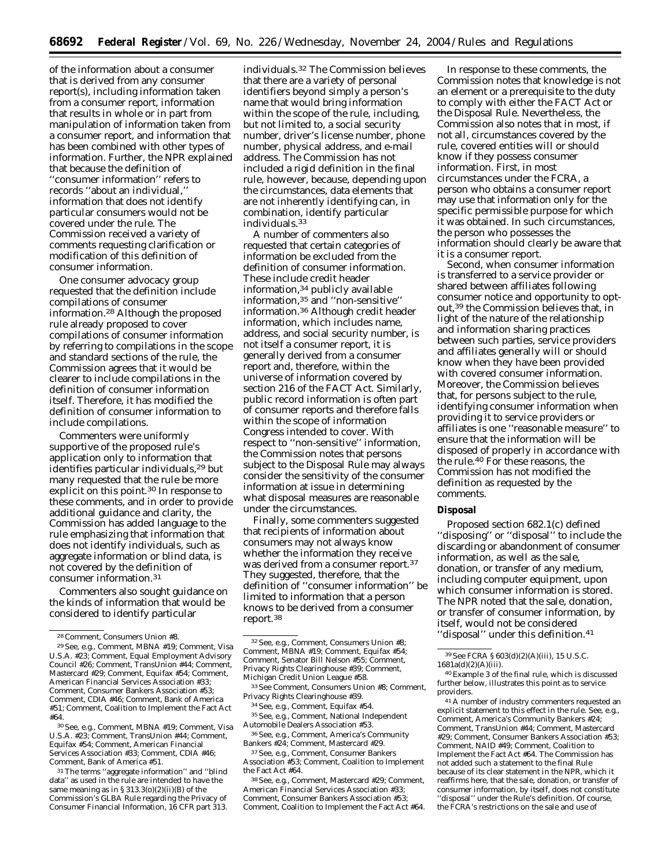of the information about a consumer that is derived from any consumer report(s), including information taken from a consumer report, information that results in whole or in part from manipulation of information taken from a consumer report, and information that has been combined with other types of information. Further, the NPR explained that because the definition of ''consumer information'' refers to records "about an individual, information that does not identify particular consumers would not be covered under the rule. The Commission received a variety of comments requesting clarification or modification of this definition of consumer information.

One consumer advocacy group requested that the definition include compilations of consumer information.28 Although the proposed rule already proposed to cover compilations of consumer information by referring to compilations in the scope and standard sections of the rule, the Commission agrees that it would be clearer to include compilations in the definition of consumer information itself. Therefore, it has modified the definition of consumer information to include compilations.

Commenters were uniformly supportive of the proposed rule's application only to information that identifies particular individuals,29 but many requested that the rule be more explicit on this point.<sup>30</sup> In response to these comments, and in order to provide additional guidance and clarity, the Commission has added language to the rule emphasizing that information that does not identify individuals, such as aggregate information or blind data, is not covered by the definition of consumer information.31

Commenters also sought guidance on the kinds of information that would be considered to identify particular

30*See, e.g.*, Comment, MBNA #19; Comment, Visa U.S.A. #23; Comment, TransUnion #44; Comment, Equifax #54; Comment, American Financial Services Association #33; Comment, CDIA #46; Comment, Bank of America #51.

31The terms ''aggregate information'' and ''blind data'' as used in the rule are intended to have the same meaning as in § 313.3(o)(2)(ii)(B) of the Commission's GLBA Rule regarding the Privacy of Consumer Financial Information, 16 CFR part 313.

individuals.32 The Commission believes that there are a variety of personal identifiers beyond simply a person's name that would bring information within the scope of the rule, including, but not limited to, a social security number, driver's license number, phone number, physical address, and e-mail address. The Commission has not included a rigid definition in the final rule, however, because, depending upon the circumstances, data elements that are not inherently identifying can, in combination, identify particular individuals.33

A number of commenters also requested that certain categories of information be excluded from the definition of consumer information. These include credit header information,34 publicly available information,35 and ''non-sensitive'' information.36 Although credit header information, which includes name, address, and social security number, is not itself a consumer report, it is generally derived from a consumer report and, therefore, within the universe of information covered by section 216 of the FACT Act. Similarly, public record information is often part of consumer reports and therefore falls within the scope of information Congress intended to cover. With respect to ''non-sensitive'' information, the Commission notes that persons subject to the Disposal Rule may always consider the sensitivity of the consumer information at issue in determining what disposal measures are reasonable under the circumstances.

Finally, some commenters suggested that recipients of information about consumers may not always know whether the information they receive was derived from a consumer report.37 They suggested, therefore, that the definition of ''consumer information'' be limited to information that a person knows to be derived from a consumer report.38

33*See* Comment, Consumers Union #8; Comment, Privacy Rights Clearinghouse #39.

34*See, e.g.*, Comment, Equifax #54.

35*See, e.g.*, Comment, National Independent Automobile Dealers Association #53.

36*See, e.g.*, Comment, America's Community Bankers #24; Comment, Mastercard #29.

37*See, e.g.*, Comment, Consumer Bankers Association #53; Comment, Coalition to Implement the Fact Act #64.

38*See, e.g.*, Comment, Mastercard #29; Comment, American Financial Services Association #33; Comment, Consumer Bankers Association #53; Comment, Coalition to Implement the Fact Act #64.

In response to these comments, the Commission notes that knowledge is not an element or a prerequisite to the duty to comply with either the FACT Act or the Disposal Rule. Nevertheless, the Commission also notes that in most, if not all, circumstances covered by the rule, covered entities will or should know if they possess consumer information. First, in most circumstances under the FCRA, a person who obtains a consumer report may use that information only for the specific permissible purpose for which it was obtained. In such circumstances, the person who possesses the information should clearly be aware that it is a consumer report.

Second, when consumer information is transferred to a service provider or shared between affiliates following consumer notice and opportunity to optout,39 the Commission believes that, in light of the nature of the relationship and information sharing practices between such parties, service providers and affiliates generally will or should know when they have been provided with covered consumer information. Moreover, the Commission believes that, for persons subject to the rule, identifying consumer information when providing it to service providers or affiliates is one ''reasonable measure'' to ensure that the information will be disposed of properly in accordance with the rule.40 For these reasons, the Commission has not modified the definition as requested by the comments.

#### **Disposal**

Proposed section 682.1(c) defined ''disposing'' or ''disposal'' to include the discarding or abandonment of consumer information, as well as the sale, donation, or transfer of any medium, including computer equipment, upon which consumer information is stored. The NPR noted that the sale, donation, or transfer of consumer information, by itself, would not be considered ''disposal'' under this definition.41

41A number of industry commenters requested an explicit statement to this effect in the rule. *See, e.g.*, Comment, America's Community Bankers #24; Comment, TransUnion #44; Comment, Mastercard #29; Comment, Consumer Bankers Association #53; Comment, NAID #49; Comment, Coalition to Implement the Fact Act #64. The Commission has not added such a statement to the final Rule because of its clear statement in the NPR, which it reaffirms here, that the sale, donation, or transfer of consumer information, by itself, does not constitute ''disposal'' under the Rule's definition. Of course, the FCRA's restrictions on the sale and use of

<sup>28</sup>Comment, Consumers Union #8.

<sup>29</sup>*See, e.g.*, Comment, MBNA #19; Comment, Visa U.S.A. #23; Comment, Equal Employment Advisory Council #26; Comment, TransUnion #44; Comment, Mastercard #29; Comment, Equifax #54; Comment, American Financial Services Association #33; Comment, Consumer Bankers Association #53; Comment, CDIA #46; Comment, Bank of America #51; Comment, Coalition to Implement the Fact Act #64.

<sup>32</sup>*See, e.g.*, Comment, Consumers Union #8; Comment, MBNA #19; Comment, Equifax #54; Comment, Senator Bill Nelson #55; Comment, Privacy Rights Clearinghouse #39; Comment, Michigan Credit Union League #58.

<sup>39</sup>*See* FCRA § 603(d)(2)(A)(iii), 15 U.S.C. 1681a(d)(2)(A)(iii).

<sup>40</sup>Example 3 of the final rule, which is discussed further below, illustrates this point as to service providers.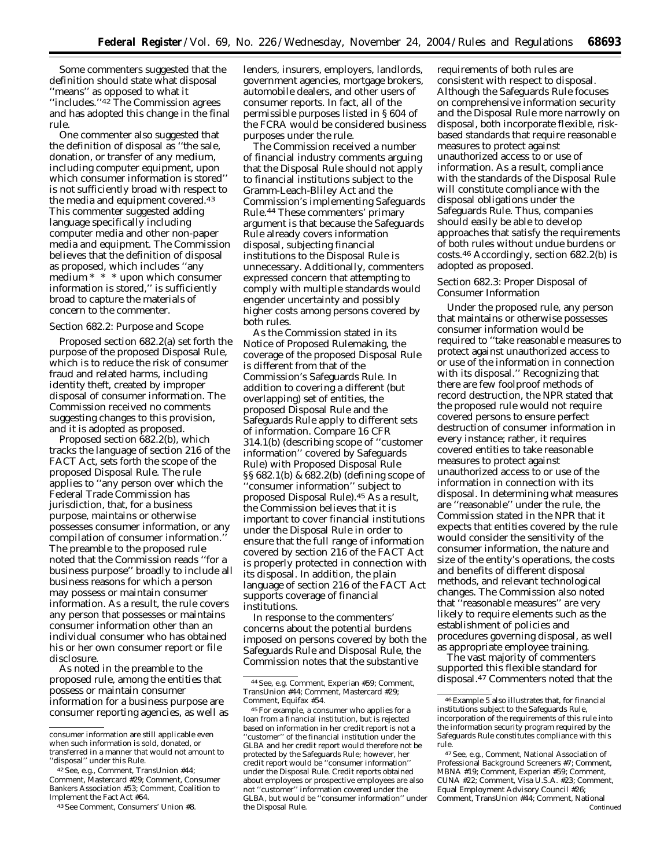Some commenters suggested that the definition should state what disposal ''means'' as opposed to what it ''includes.''42 The Commission agrees and has adopted this change in the final rule.

One commenter also suggested that the definition of disposal as ''the sale, donation, or transfer of any medium, including computer equipment, upon which consumer information is stored'' is not sufficiently broad with respect to the media and equipment covered.43 This commenter suggested adding language specifically including computer media and other non-paper media and equipment. The Commission believes that the definition of disposal as proposed, which includes ''any medium \* \* \* upon which consumer information is stored,'' is sufficiently broad to capture the materials of concern to the commenter.

#### *Section 682.2: Purpose and Scope*

Proposed section 682.2(a) set forth the purpose of the proposed Disposal Rule, which is to reduce the risk of consumer fraud and related harms, including identity theft, created by improper disposal of consumer information. The Commission received no comments suggesting changes to this provision, and it is adopted as proposed.

Proposed section 682.2(b), which tracks the language of section 216 of the FACT Act, sets forth the scope of the proposed Disposal Rule. The rule applies to ''any person over which the Federal Trade Commission has jurisdiction, that, for a business purpose, maintains or otherwise possesses consumer information, or any compilation of consumer information.'' The preamble to the proposed rule noted that the Commission reads ''for a business purpose'' broadly to include all business reasons for which a person may possess or maintain consumer information. As a result, the rule covers any person that possesses or maintains consumer information other than an individual consumer who has obtained his or her own consumer report or file disclosure.

As noted in the preamble to the proposed rule, among the entities that possess or maintain consumer information for a business purpose are consumer reporting agencies, as well as

lenders, insurers, employers, landlords, government agencies, mortgage brokers, automobile dealers, and other users of consumer reports. In fact, all of the permissible purposes listed in § 604 of the FCRA would be considered business purposes under the rule.

The Commission received a number of financial industry comments arguing that the Disposal Rule should not apply to financial institutions subject to the Gramm-Leach-Bliley Act and the Commission's implementing Safeguards Rule.44 These commenters' primary argument is that because the Safeguards Rule already covers information disposal, subjecting financial institutions to the Disposal Rule is unnecessary. Additionally, commenters expressed concern that attempting to comply with multiple standards would engender uncertainty and possibly higher costs among persons covered by both rules.

As the Commission stated in its Notice of Proposed Rulemaking, the coverage of the proposed Disposal Rule is different from that of the Commission's Safeguards Rule. In addition to covering a different (but overlapping) set of entities, the proposed Disposal Rule and the Safeguards Rule apply to different sets of information. *Compare* 16 CFR 314.1(b) (describing scope of ''customer information'' covered by Safeguards Rule) with Proposed Disposal Rule §§ 682.1(b) & 682.2(b) (defining scope of 'consumer information" subject to proposed Disposal Rule).45 As a result, the Commission believes that it is important to cover financial institutions under the Disposal Rule in order to ensure that the full range of information covered by section 216 of the FACT Act is properly protected in connection with its disposal. In addition, the plain language of section 216 of the FACT Act supports coverage of financial institutions.

In response to the commenters' concerns about the potential burdens imposed on persons covered by both the Safeguards Rule and Disposal Rule, the Commission notes that the substantive

requirements of both rules are consistent with respect to disposal. Although the Safeguards Rule focuses on comprehensive information security and the Disposal Rule more narrowly on disposal, both incorporate flexible, riskbased standards that require reasonable measures to protect against unauthorized access to or use of information. As a result, compliance with the standards of the Disposal Rule will constitute compliance with the disposal obligations under the Safeguards Rule. Thus, companies should easily be able to develop approaches that satisfy the requirements of both rules without undue burdens or costs.46 Accordingly, section 682.2(b) is adopted as proposed.

# *Section 682.3: Proper Disposal of Consumer Information*

Under the proposed rule, any person that maintains or otherwise possesses consumer information would be required to ''take reasonable measures to protect against unauthorized access to or use of the information in connection with its disposal.'' Recognizing that there are few foolproof methods of record destruction, the NPR stated that the proposed rule would not require covered persons to ensure perfect destruction of consumer information in every instance; rather, it requires covered entities to take reasonable measures to protect against unauthorized access to or use of the information in connection with its disposal. In determining what measures are ''reasonable'' under the rule, the Commission stated in the NPR that it expects that entities covered by the rule would consider the sensitivity of the consumer information, the nature and size of the entity's operations, the costs and benefits of different disposal methods, and relevant technological changes. The Commission also noted that ''reasonable measures'' are very likely to require elements such as the establishment of policies and procedures governing disposal, as well as appropriate employee training.

The vast majority of commenters supported this flexible standard for disposal.47 Commenters noted that the

consumer information are still applicable even when such information is sold, donated, or transferred in a manner that would not amount to ''disposal'' under this Rule.

<sup>42</sup>*See, e.g.*, Comment, TransUnion #44; Comment, Mastercard #29; Comment, Consumer Bankers Association #53; Comment, Coalition to Implement the Fact Act #64.

<sup>43</sup>*See* Comment, Consumers' Union #8.

<sup>44</sup>*See, e.g.* Comment, Experian #59; Comment, TransUnion #44; Comment, Mastercard #29; Comment, Equifax #54.

<sup>45</sup>For example, a consumer who applies for a loan from a financial institution, but is rejected based on information in her credit report is not a ''customer'' of the financial institution under the GLBA and her credit report would therefore not be protected by the Safeguards Rule; however, her credit report would be ''consumer information'' under the Disposal Rule. Credit reports obtained about employees or prospective employees are also not ''customer'' information covered under the GLBA, but would be ''consumer information'' under the Disposal Rule.

<sup>46</sup>Example 5 also illustrates that, for financial institutions subject to the Safeguards Rule, incorporation of the requirements of this rule into the information security program required by the Safeguards Rule constitutes compliance with this rule.

<sup>47</sup>*See, e.g.*, Comment, National Association of Professional Background Screeners #7; Comment, MBNA #19; Comment, Experian #59; Comment, CUNA #22; Comment, Visa U.S.A. #23; Comment, Equal Employment Advisory Council #26; Comment, TransUnion #44; Comment, National Continued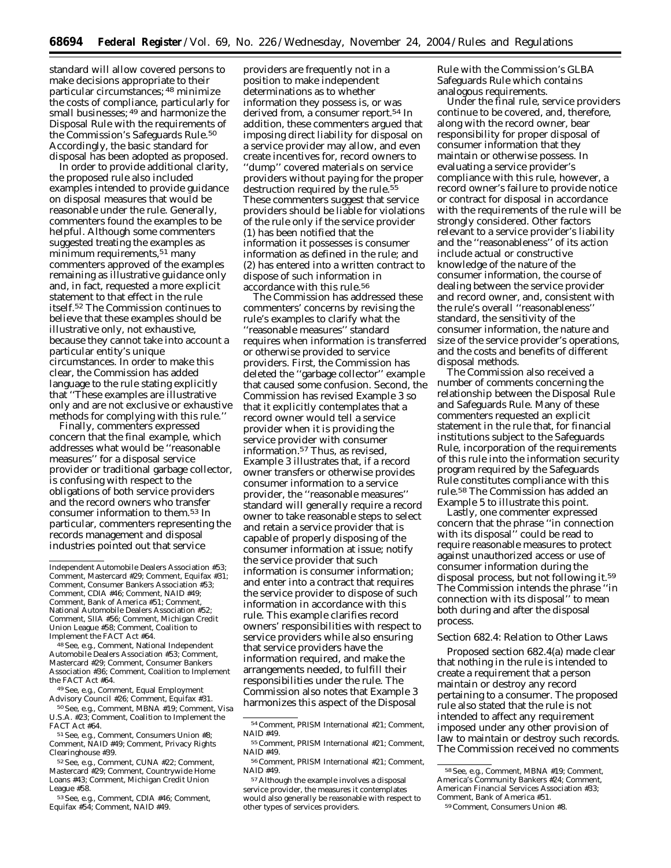standard will allow covered persons to make decisions appropriate to their particular circumstances; 48 minimize the costs of compliance, particularly for small businesses; 49 and harmonize the Disposal Rule with the requirements of the Commission's Safeguards Rule.<sup>50</sup> Accordingly, the basic standard for disposal has been adopted as proposed.

In order to provide additional clarity, the proposed rule also included examples intended to provide guidance on disposal measures that would be reasonable under the rule. Generally, commenters found the examples to be helpful. Although some commenters suggested treating the examples as minimum requirements,<sup>51</sup> many commenters approved of the examples remaining as illustrative guidance only and, in fact, requested a more explicit statement to that effect in the rule itself.52 The Commission continues to believe that these examples should be illustrative only, not exhaustive, because they cannot take into account a particular entity's unique circumstances. In order to make this clear, the Commission has added language to the rule stating explicitly that ''These examples are illustrative only and are not exclusive or exhaustive methods for complying with this rule.''

Finally, commenters expressed concern that the final example, which addresses what would be ''reasonable measures'' for a disposal service provider or traditional garbage collector, is confusing with respect to the obligations of both service providers and the record owners who transfer consumer information to them.53 In particular, commenters representing the records management and disposal industries pointed out that service

48*See, e.g.*, Comment, National Independent Automobile Dealers Association #53; Comment, Mastercard #29; Comment, Consumer Bankers Association #36; Comment, Coalition to Implement the FACT Act #64.

49*See, e.g.*, Comment, Equal Employment Advisory Council #26; Comment, Equifax #31.

50*See, e.g.*, Comment, MBNA #19; Comment, Visa U.S.A. #23; Comment, Coalition to Implement the FACT Act #64.

53*See, e.g.*, Comment, CDIA #46; Comment, Equifax #54; Comment, NAID #49.

providers are frequently not in a position to make independent determinations as to whether information they possess is, or was derived from, a consumer report.54 In addition, these commenters argued that imposing direct liability for disposal on a service provider may allow, and even create incentives for, record owners to ''dump'' covered materials on service providers without paying for the proper destruction required by the rule.<sup>55</sup> These commenters suggest that service providers should be liable for violations of the rule only if the service provider (1) has been notified that the information it possesses is consumer information as defined in the rule; and (2) has entered into a written contract to dispose of such information in accordance with this rule.56

The Commission has addressed these commenters' concerns by revising the rule's examples to clarify what the ''reasonable measures'' standard requires when information is transferred or otherwise provided to service providers. First, the Commission has deleted the ''garbage collector'' example that caused some confusion. Second, the Commission has revised Example 3 so that it explicitly contemplates that a record owner would tell a service provider when it is providing the service provider with consumer information.57 Thus, as revised, Example 3 illustrates that, if a record owner transfers or otherwise provides consumer information to a service provider, the ''reasonable measures'' standard will generally require a record owner to take reasonable steps to select and retain a service provider that is capable of properly disposing of the consumer information at issue; notify the service provider that such information is consumer information; and enter into a contract that requires the service provider to dispose of such information in accordance with this rule. This example clarifies record owners' responsibilities with respect to service providers while also ensuring that service providers have the information required, and make the arrangements needed, to fulfill their responsibilities under the rule. The Commission also notes that Example 3 harmonizes this aspect of the Disposal

Rule with the Commission's GLBA Safeguards Rule which contains analogous requirements.

Under the final rule, service providers continue to be covered, and, therefore, along with the record owner, bear responsibility for proper disposal of consumer information that they maintain or otherwise possess. In evaluating a service provider's compliance with this rule, however, a record owner's failure to provide notice or contract for disposal in accordance with the requirements of the rule will be strongly considered. Other factors relevant to a service provider's liability and the ''reasonableness'' of its action include actual or constructive knowledge of the nature of the consumer information, the course of dealing between the service provider and record owner, and, consistent with the rule's overall ''reasonableness'' standard, the sensitivity of the consumer information, the nature and size of the service provider's operations, and the costs and benefits of different disposal methods.

The Commission also received a number of comments concerning the relationship between the Disposal Rule and Safeguards Rule. Many of these commenters requested an explicit statement in the rule that, for financial institutions subject to the Safeguards Rule, incorporation of the requirements of this rule into the information security program required by the Safeguards Rule constitutes compliance with this rule.58 The Commission has added an Example 5 to illustrate this point.

Lastly, one commenter expressed concern that the phrase ''in connection with its disposal'' could be read to require reasonable measures to protect against unauthorized access or use of consumer information *during* the disposal process, but not following it.59 The Commission intends the phrase ''in connection with its disposal'' to mean both during and after the disposal process.

#### *Section 682.4: Relation to Other Laws*

Proposed section 682.4(a) made clear that nothing in the rule is intended to create a requirement that a person maintain or destroy any record pertaining to a consumer. The proposed rule also stated that the rule is not intended to affect any requirement imposed under any other provision of law to maintain or destroy such records. The Commission received no comments

Independent Automobile Dealers Association #53; Comment, Mastercard #29; Comment, Equifax #31; Comment, Consumer Bankers Association #53; Comment, CDIA #46; Comment, NAID #49; Comment, Bank of America #51; Comment, National Automobile Dealers Association #52; Comment, SIIA #56; Comment, Michigan Credit Union League #58; Comment, Coalition to Implement the FACT Act #64.

<sup>51</sup>*See, e.g.*, Comment, Consumers Union #8; Comment, NAID #49; Comment, Privacy Rights Clearinghouse #39.

<sup>52</sup>*See, e.g.*, Comment, CUNA #22; Comment, Mastercard #29; Comment, Countrywide Home Loans #43; Comment, Michigan Credit Union League #58.

<sup>54</sup>Comment, PRISM International #21; Comment, NAID #49.

<sup>55</sup>Comment, PRISM International #21; Comment, NAID #49.

<sup>56</sup>Comment, PRISM International #21; Comment,  $NAIN #49.$ 

<sup>57</sup>Although the example involves a disposal service provider, the measures it contemplates would also generally be reasonable with respect to other types of services providers.

<sup>58</sup>*See, e.g.*, Comment, MBNA #19; Comment, America's Community Bankers #24; Comment, American Financial Services Association #33; Comment, Bank of America #51.

<sup>59</sup>Comment, Consumers Union #8.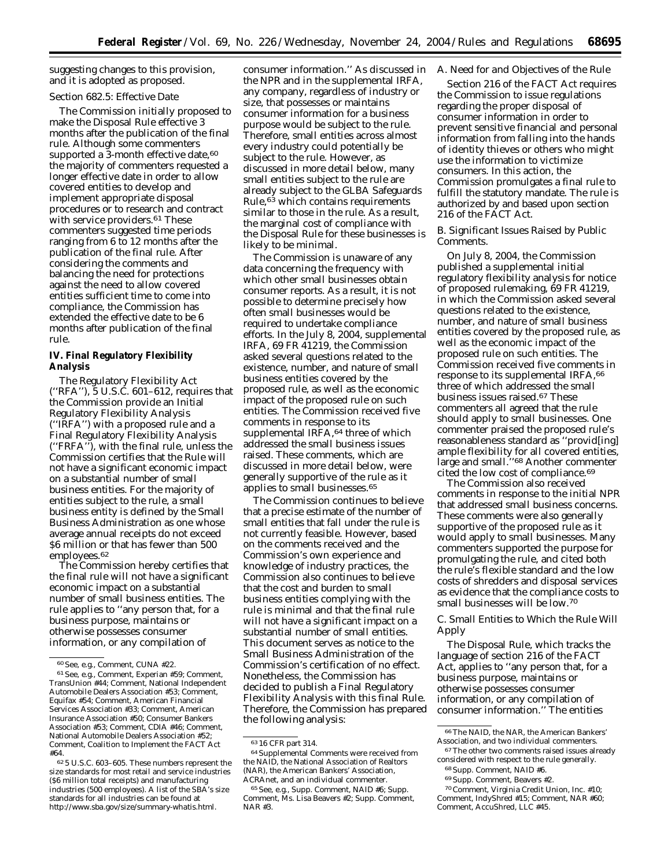suggesting changes to this provision, and it is adopted as proposed.

#### *Section 682.5: Effective Date*

The Commission initially proposed to make the Disposal Rule effective 3 months after the publication of the final rule. Although some commenters supported a 3-month effective date, 60 the majority of commenters requested a longer effective date in order to allow covered entities to develop and implement appropriate disposal procedures or to research and contract with service providers.<sup>61</sup> These commenters suggested time periods ranging from 6 to 12 months after the publication of the final rule. After considering the comments and balancing the need for protections against the need to allow covered entities sufficient time to come into compliance, the Commission has extended the effective date to be 6 months after publication of the final rule.

# **IV. Final Regulatory Flexibility Analysis**

The Regulatory Flexibility Act (''RFA''), 5 U.S.C. 601–612, requires that the Commission provide an Initial Regulatory Flexibility Analysis (''IRFA'') with a proposed rule and a Final Regulatory Flexibility Analysis (''FRFA''), with the final rule, unless the Commission certifies that the Rule will not have a significant economic impact on a substantial number of small business entities. For the majority of entities subject to the rule, a small business entity is defined by the Small Business Administration as one whose average annual receipts do not exceed \$6 million or that has fewer than 500 employees.62

The Commission hereby certifies that the final rule will not have a significant economic impact on a substantial number of small business entities. The rule applies to ''any person that, for a business purpose, maintains or otherwise possesses consumer information, or any compilation of

consumer information.'' As discussed in the NPR and in the supplemental IRFA, any company, regardless of industry or size, that possesses or maintains consumer information for a business purpose would be subject to the rule. Therefore, small entities across almost every industry could potentially be subject to the rule. However, as discussed in more detail below, many small entities subject to the rule are already subject to the GLBA Safeguards Rule,63 which contains requirements similar to those in the rule. As a result, the marginal cost of compliance with the Disposal Rule for these businesses is likely to be minimal.

The Commission is unaware of any data concerning the frequency with which other small businesses obtain consumer reports. As a result, it is not possible to determine precisely how often small businesses would be required to undertake compliance efforts. In the July 8, 2004, supplemental IRFA, 69 FR 41219, the Commission asked several questions related to the existence, number, and nature of small business entities covered by the proposed rule, as well as the economic impact of the proposed rule on such entities. The Commission received five comments in response to its supplemental IRFA, <sup>64</sup> three of which addressed the small business issues raised. These comments, which are discussed in more detail below, were generally supportive of the rule as it applies to small businesses.65

The Commission continues to believe that a precise estimate of the number of small entities that fall under the rule is not currently feasible. However, based on the comments received and the Commission's own experience and knowledge of industry practices, the Commission also continues to believe that the cost and burden to small business entities complying with the rule is minimal and that the final rule will not have a significant impact on a substantial number of small entities. This document serves as notice to the Small Business Administration of the Commission's certification of no effect. Nonetheless, the Commission has decided to publish a Final Regulatory Flexibility Analysis with this final Rule. Therefore, the Commission has prepared the following analysis:

#### *A. Need for and Objectives of the Rule*

Section 216 of the FACT Act requires the Commission to issue regulations regarding the proper disposal of consumer information in order to prevent sensitive financial and personal information from falling into the hands of identity thieves or others who might use the information to victimize consumers. In this action, the Commission promulgates a final rule to fulfill the statutory mandate. The rule is authorized by and based upon section 216 of the FACT Act.

#### *B. Significant Issues Raised by Public Comments.*

On July 8, 2004, the Commission published a supplemental initial regulatory flexibility analysis for notice of proposed rulemaking, 69 FR 41219, in which the Commission asked several questions related to the existence, number, and nature of small business entities covered by the proposed rule, as well as the economic impact of the proposed rule on such entities. The Commission received five comments in response to its supplemental IRFA,66 three of which addressed the small business issues raised.67 These commenters all agreed that the rule should apply to small businesses. One commenter praised the proposed rule's reasonableness standard as ''provid[ing] ample flexibility for all covered entities, large and small.''68 Another commenter cited the low cost of compliance.69

The Commission also received comments in response to the initial NPR that addressed small business concerns. These comments were also generally supportive of the proposed rule as it would apply to small businesses. Many commenters supported the purpose for promulgating the rule, and cited both the rule's flexible standard and the low costs of shredders and disposal services as evidence that the compliance costs to small businesses will be low.70

# *C. Small Entities to Which the Rule Will Apply*

The Disposal Rule, which tracks the language of section 216 of the FACT Act, applies to ''any person that, for a business purpose, maintains or otherwise possesses consumer information, or any compilation of consumer information.'' The entities

<sup>60</sup>*See, e.g.*, Comment, CUNA #22.

<sup>61</sup>*See, e.g.*, Comment, Experian #59; Comment, TransUnion #44; Comment, National Independent Automobile Dealers Association #53; Comment, Equifax #54; Comment, American Financial Services Association #33; Comment, American Insurance Association #50; Consumer Bankers Association #53; Comment, CDIA #46; Comment National Automobile Dealers Association #52; Comment, Coalition to Implement the FACT Act #64.

<sup>62</sup> 5 U.S.C. 603–605. These numbers represent the size standards for most retail and service industries (\$6 million total receipts) and manufacturing industries (500 employees). A list of the SBA's size standards for all industries can be found at *http://www.sba.gov/size/summary-whatis.html.*

<sup>63</sup> 16 CFR part 314.

<sup>64</sup>Supplemental Comments were received from the NAID, the National Association of Realtors (NAR), the American Bankers' Association, ACRAnet, and an individual commenter.

<sup>65</sup>*See, e.g.*, Supp. Comment, NAID #6; Supp. Comment, Ms. Lisa Beavers #2; Supp. Comment, NAR #3.

<sup>66</sup>The NAID, the NAR, the American Bankers' Association, and two individual commenters.

<sup>67</sup>The other two comments raised issues already considered with respect to the rule generally.

<sup>68</sup>Supp. Comment, NAID #6.

<sup>69</sup>Supp. Comment, Beavers #2.

<sup>70</sup>Comment, Virginia Credit Union, Inc. #10; Comment, IndyShred #15; Comment, NAR #60; Comment, AccuShred, LLC #45.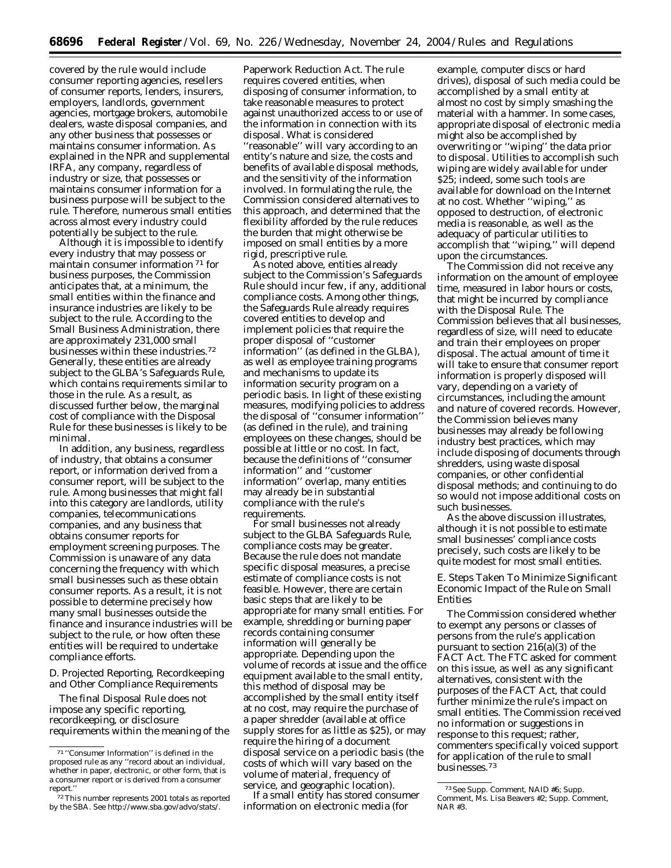covered by the rule would include consumer reporting agencies, resellers of consumer reports, lenders, insurers, employers, landlords, government agencies, mortgage brokers, automobile dealers, waste disposal companies, and any other business that possesses or maintains consumer information. As explained in the NPR and supplemental IRFA, any company, regardless of industry or size, that possesses or maintains consumer information for a business purpose will be subject to the rule. Therefore, numerous small entities across almost every industry could potentially be subject to the rule.

Although it is impossible to identify every industry that may possess or maintain consumer information 71 for business purposes, the Commission anticipates that, at a minimum, the small entities within the finance and insurance industries are likely to be subject to the rule. According to the Small Business Administration, there are approximately 231,000 small businesses within these industries.72 Generally, these entities are already subject to the GLBA's Safeguards Rule, which contains requirements similar to those in the rule. As a result, as discussed further below, the marginal cost of compliance with the Disposal Rule for these businesses is likely to be minimal.

In addition, any business, regardless of industry, that obtains a consumer report, or information derived from a consumer report, will be subject to the rule. Among businesses that might fall into this category are landlords, utility companies, telecommunications companies, and any business that obtains consumer reports for employment screening purposes. The Commission is unaware of any data concerning the frequency with which small businesses such as these obtain consumer reports. As a result, it is not possible to determine precisely how many small businesses outside the finance and insurance industries will be subject to the rule, or how often these entities will be required to undertake compliance efforts.

#### *D. Projected Reporting, Recordkeeping and Other Compliance Requirements*

The final Disposal Rule does not impose any specific reporting, recordkeeping, or disclosure requirements within the meaning of the

Paperwork Reduction Act. The rule requires covered entities, when disposing of consumer information, to take reasonable measures to protect against unauthorized access to or use of the information in connection with its disposal. What is considered ''reasonable'' will vary according to an entity's nature and size, the costs and benefits of available disposal methods, and the sensitivity of the information involved. In formulating the rule, the Commission considered alternatives to this approach, and determined that the flexibility afforded by the rule reduces the burden that might otherwise be imposed on small entities by a more rigid, prescriptive rule.

As noted above, entities already subject to the Commission's Safeguards Rule should incur few, if any, additional compliance costs. Among other things, the Safeguards Rule already requires covered entities to develop and implement policies that require the proper disposal of ''customer information'' (as defined in the GLBA), as well as employee training programs and mechanisms to update its information security program on a periodic basis. In light of these existing measures, modifying policies to address the disposal of ''consumer information'' (as defined in the rule), and training employees on these changes, should be possible at little or no cost. In fact, because the definitions of ''consumer information'' and ''customer information'' overlap, many entities may already be in substantial compliance with the rule's requirements.

For small businesses not already subject to the GLBA Safeguards Rule, compliance costs may be greater. Because the rule does not mandate specific disposal measures, a precise estimate of compliance costs is not feasible. However, there are certain basic steps that are likely to be appropriate for many small entities. For example, shredding or burning paper records containing consumer information will generally be appropriate. Depending upon the volume of records at issue and the office equipment available to the small entity, this method of disposal may be accomplished by the small entity itself at no cost, may require the purchase of a paper shredder (available at office supply stores for as little as \$25), or may require the hiring of a document disposal service on a periodic basis (the costs of which will vary based on the volume of material, frequency of service, and geographic location).

If a small entity has stored consumer information on electronic media (for

example, computer discs or hard drives), disposal of such media could be accomplished by a small entity at almost no cost by simply smashing the material with a hammer. In some cases, appropriate disposal of electronic media might also be accomplished by overwriting or ''wiping'' the data prior to disposal. Utilities to accomplish such wiping are widely available for under \$25; indeed, some such tools are available for download on the Internet at no cost. Whether ''wiping,'' as opposed to destruction, of electronic media is reasonable, as well as the adequacy of particular utilities to accomplish that ''wiping,'' will depend upon the circumstances.

The Commission did not receive any information on the amount of employee time, measured in labor hours or costs, that might be incurred by compliance with the Disposal Rule. The Commission believes that all businesses, regardless of size, will need to educate and train their employees on proper disposal. The actual amount of time it will take to ensure that consumer report information is properly disposed will vary, depending on a variety of circumstances, including the amount and nature of covered records. However, the Commission believes many businesses may already be following industry best practices, which may include disposing of documents through shredders, using waste disposal companies, or other confidential disposal methods; and continuing to do so would not impose additional costs on such businesses.

As the above discussion illustrates, although it is not possible to estimate small businesses' compliance costs precisely, such costs are likely to be quite modest for most small entities.

# *E. Steps Taken To Minimize Significant Economic Impact of the Rule on Small Entities*

The Commission considered whether to exempt any persons or classes of persons from the rule's application pursuant to section 216(a)(3) of the FACT Act. The FTC asked for comment on this issue, as well as any significant alternatives, consistent with the purposes of the FACT Act, that could further minimize the rule's impact on small entities. The Commission received no information or suggestions in response to this request; rather, commenters specifically voiced support for application of the rule to small businesses.73

<sup>71</sup> ''Consumer Information'' is defined in the proposed rule as any ''record about an individual, whether in paper, electronic, or other form, that is a consumer report or is derived from a consumer report.''

<sup>72</sup>This number represents 2001 totals as reported by the SBA. *See http://www.sba.gov/advo/stats/*.

<sup>73</sup>*See* Supp. Comment, NAID #6; Supp. Comment, Ms. Lisa Beavers #2; Supp. Comment, NAR #3.